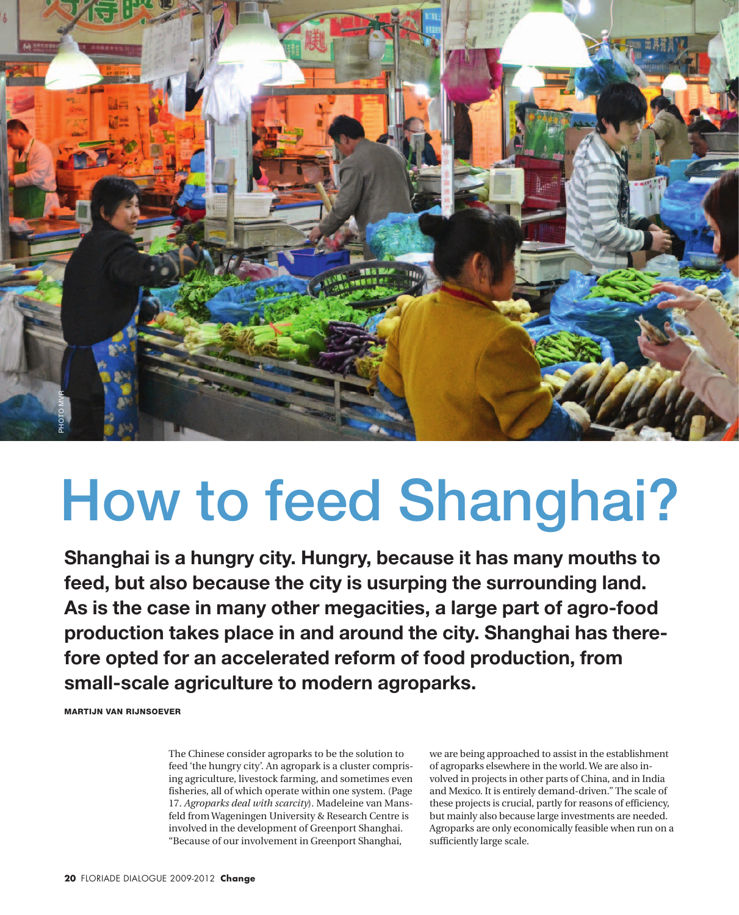

# How to feed Shanghai?

**Shanghai is a hungry city. Hungry, because it has many mouths to feed, but also because the city is usurping the surrounding land. As is the case in many other megacities, a large part of agro-food production takes place in and around the city. Shanghai has therefore opted for an accelerated reform of food production, from small-scale agriculture to modern agroparks.**

Martijn van Rijnsoever

The Chinese consider agroparks to be the solution to feed 'the hungry city'. An agropark is a cluster comprising agriculture, livestock farming, and sometimes even fisheries, all of which operate within one system. (Page 17. *Agroparks deal with scarcity*). Madeleine van Mansfeld from Wageningen University & Research Centre is involved in the development of Greenport Shanghai. "Because of our involvement in Greenport Shanghai,

we are being approached to assist in the establishment of agroparks elsewhere in the world. We are also involved in projects in other parts of China, and in India and Mexico. It is entirely demand-driven." The scale of these projects is crucial, partly for reasons of efficiency, but mainly also because large investments are needed. Agroparks are only economically feasible when run on a sufficiently large scale.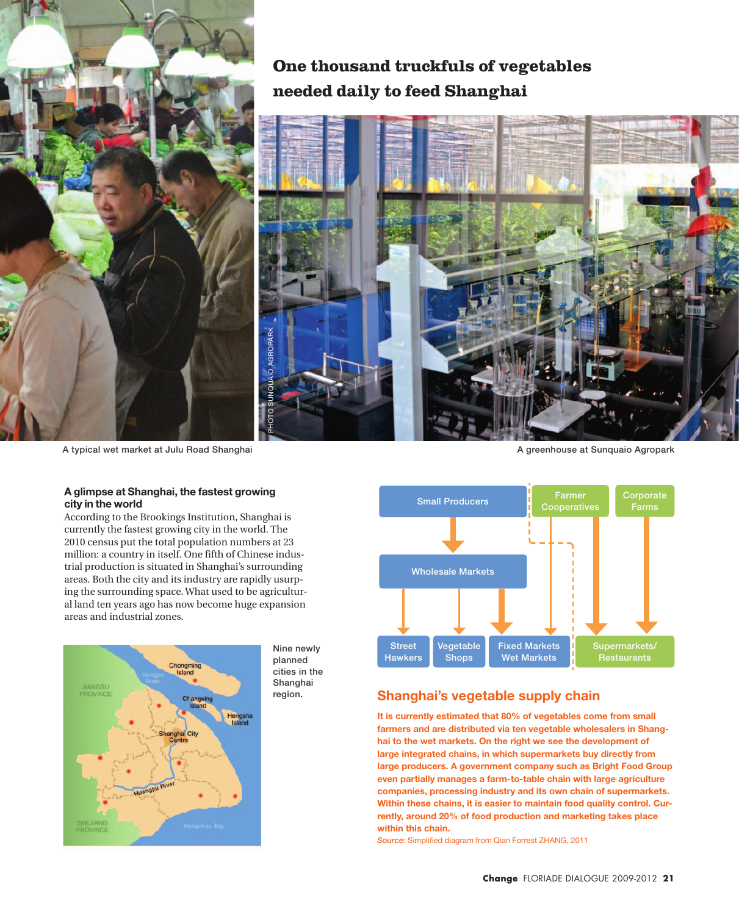

A typical wet market at Julu Road Shanghai

#### **A glimpse at Shanghai, the fastest growing city in the world**

According to the Brookings Institution, Shanghai is currently the fastest growing city in the world. The 2010 census put the total population numbers at 23 million: a country in itself. One fifth of Chinese industrial production is situated in Shanghai's surrounding areas. Both the city and its industry are rapidly usurping the surrounding space. What used to be agricultural land ten years ago has now become huge expansion areas and industrial zones.



Nine newly planned cities in the Shanghai region.

A greenhouse at Sunquaio Agropark



## **Shanghai's vegetable supply chain**

**It is currently estimated that 80% of vegetables come from small farmers and are distributed via ten vegetable wholesalers in Shanghai to the wet markets. On the right we see the development of large integrated chains, in which supermarkets buy directly from large producers. A government company such as Bright Food Group even partially manages a farm-to-table chain with large agriculture companies, processing industry and its own chain of supermarkets. Within these chains, it is easier to maintain food quality control. Currently, around 20% of food production and marketing takes place within this chain.** 

*Source:* Simplified diagram from Qian Forrest ZHANG, 2011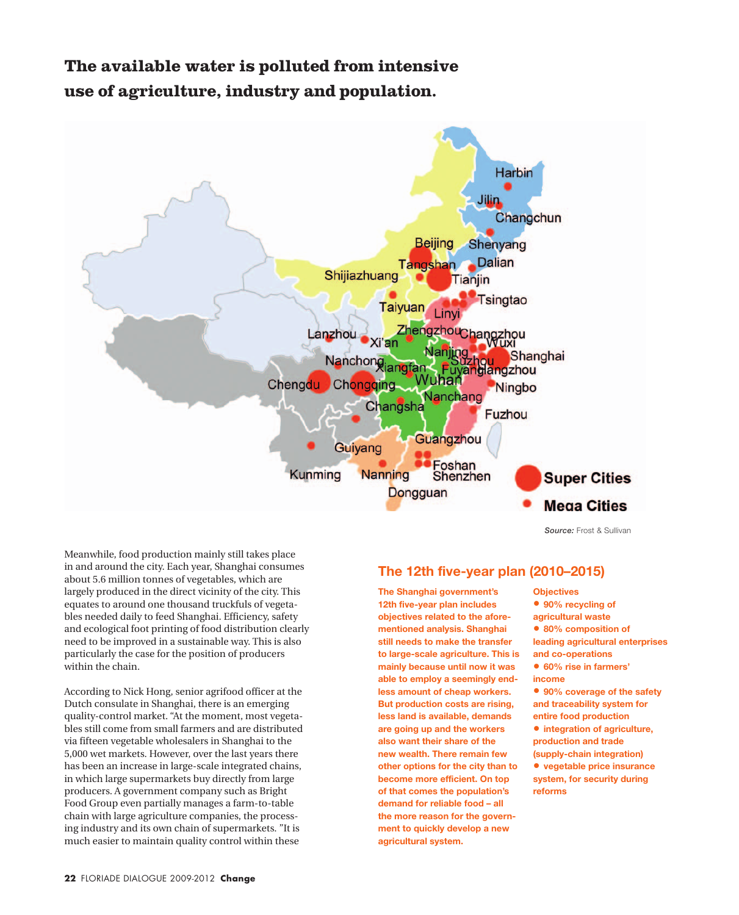# **The available water is polluted from intensive use of agriculture, industry and population.**



*Source:* Frost & Sullivan

Meanwhile, food production mainly still takes place in and around the city. Each year, Shanghai consumes about 5.6 million tonnes of vegetables, which are largely produced in the direct vicinity of the city. This equates to around one thousand truckfuls of vegetables needed daily to feed Shanghai. Efficiency, safety and ecological foot printing of food distribution clearly need to be improved in a sustainable way. This is also particularly the case for the position of producers within the chain.

According to Nick Hong, senior agrifood officer at the Dutch consulate in Shanghai, there is an emerging quality-control market. "At the moment, most vegetables still come from small farmers and are distributed via fifteen vegetable wholesalers in Shanghai to the 5,000 wet markets. However, over the last years there has been an increase in large-scale integrated chains, in which large supermarkets buy directly from large producers. A government company such as Bright Food Group even partially manages a farm-to-table chain with large agriculture companies, the processing industry and its own chain of supermarkets. "It is much easier to maintain quality control within these

### **The 12th five-year plan (2010–2015)**

**The Shanghai government's 12th five-year plan includes objectives related to the aforementioned analysis. Shanghai still needs to make the transfer to large-scale agriculture. This is mainly because until now it was able to employ a seemingly endless amount of cheap workers. But production costs are rising, less land is available, demands are going up and the workers also want their share of the new wealth. There remain few other options for the city than to become more efficient. On top of that comes the population's demand for reliable food – all the more reason for the government to quickly develop a new agricultural system.** 

**Objectives • 90% recycling of agricultural waste • 80% composition of leading agricultural enterprises and co-operations • 60% rise in farmers' income • 90% coverage of the safety and traceability system for entire food production • integration of agriculture, production and trade (supply-chain integration) • vegetable price insurance system, for security during reforms**